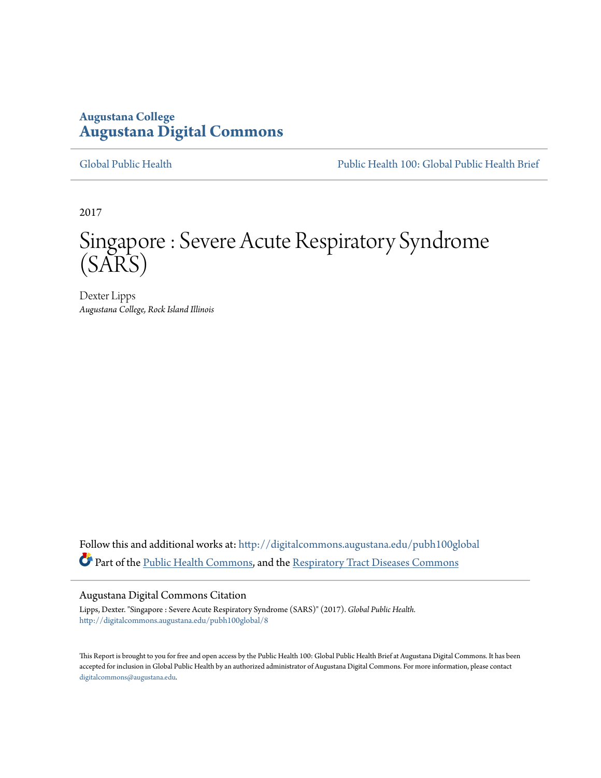# **Augustana College [Augustana Digital Commons](http://digitalcommons.augustana.edu?utm_source=digitalcommons.augustana.edu%2Fpubh100global%2F8&utm_medium=PDF&utm_campaign=PDFCoverPages)**

[Global Public Health](http://digitalcommons.augustana.edu/pubh100global?utm_source=digitalcommons.augustana.edu%2Fpubh100global%2F8&utm_medium=PDF&utm_campaign=PDFCoverPages) [Public Health 100: Global Public Health Brief](http://digitalcommons.augustana.edu/pubh100?utm_source=digitalcommons.augustana.edu%2Fpubh100global%2F8&utm_medium=PDF&utm_campaign=PDFCoverPages)

2017

# Singapore : Severe Acute Respiratory Syndrome (SARS)

Dexter Lipps *Augustana College, Rock Island Illinois*

Follow this and additional works at: [http://digitalcommons.augustana.edu/pubh100global](http://digitalcommons.augustana.edu/pubh100global?utm_source=digitalcommons.augustana.edu%2Fpubh100global%2F8&utm_medium=PDF&utm_campaign=PDFCoverPages) Part of the [Public Health Commons,](http://network.bepress.com/hgg/discipline/738?utm_source=digitalcommons.augustana.edu%2Fpubh100global%2F8&utm_medium=PDF&utm_campaign=PDFCoverPages) and the [Respiratory Tract Diseases Commons](http://network.bepress.com/hgg/discipline/990?utm_source=digitalcommons.augustana.edu%2Fpubh100global%2F8&utm_medium=PDF&utm_campaign=PDFCoverPages)

#### Augustana Digital Commons Citation

Lipps, Dexter. "Singapore : Severe Acute Respiratory Syndrome (SARS)" (2017). *Global Public Health.* [http://digitalcommons.augustana.edu/pubh100global/8](http://digitalcommons.augustana.edu/pubh100global/8?utm_source=digitalcommons.augustana.edu%2Fpubh100global%2F8&utm_medium=PDF&utm_campaign=PDFCoverPages)

This Report is brought to you for free and open access by the Public Health 100: Global Public Health Brief at Augustana Digital Commons. It has been accepted for inclusion in Global Public Health by an authorized administrator of Augustana Digital Commons. For more information, please contact [digitalcommons@augustana.edu.](mailto:digitalcommons@augustana.edu)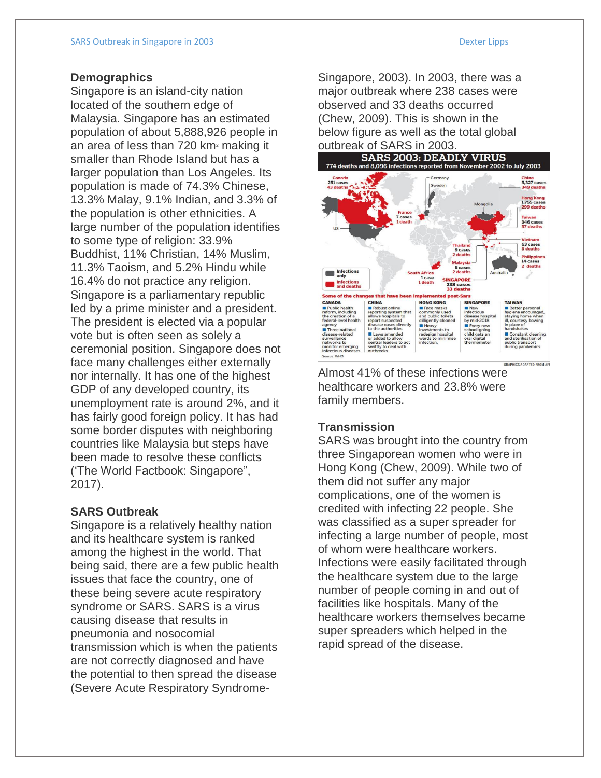#### **Demographics**

Singapore is an island-city nation located of the southern edge of Malaysia. Singapore has an estimated population of about 5,888,926 people in an area of less than 720 km<sup>2</sup> making it smaller than Rhode Island but has a larger population than Los Angeles. Its population is made of 74.3% Chinese, 13.3% Malay, 9.1% Indian, and 3.3% of the population is other ethnicities. A large number of the population identifies to some type of religion: 33.9% Buddhist, 11% Christian, 14% Muslim, 11.3% Taoism, and 5.2% Hindu while 16.4% do not practice any religion. Singapore is a parliamentary republic led by a prime minister and a president. The president is elected via a popular vote but is often seen as solely a ceremonial position. Singapore does not face many challenges either externally nor internally. It has one of the highest GDP of any developed country, its unemployment rate is around 2%, and it has fairly good foreign policy. It has had some border disputes with neighboring countries like Malaysia but steps have been made to resolve these conflicts ('The World Factbook: Singapore", 2017).

### **SARS Outbreak**

Singapore is a relatively healthy nation and its healthcare system is ranked among the highest in the world. That being said, there are a few public health issues that face the country, one of these being severe acute respiratory syndrome or SARS. SARS is a virus causing disease that results in pneumonia and nosocomial transmission which is when the patients are not correctly diagnosed and have the potential to then spread the disease (Severe Acute Respiratory SyndromeSingapore, 2003). In 2003, there was a major outbreak where 238 cases were observed and 33 deaths occurred (Chew, 2009). This is shown in the below figure as well as the total global outbreak of SARS in 2003.<br>SARS 2003: DEADLY VIRUS



Almost 41% of these infections were healthcare workers and 23.8% were family members.

## **Transmission**

SARS was brought into the country from three Singaporean women who were in Hong Kong (Chew, 2009). While two of them did not suffer any major complications, one of the women is credited with infecting 22 people. She was classified as a super spreader for infecting a large number of people, most of whom were healthcare workers. Infections were easily facilitated through the healthcare system due to the large number of people coming in and out of facilities like hospitals. Many of the healthcare workers themselves became super spreaders which helped in the rapid spread of the disease.